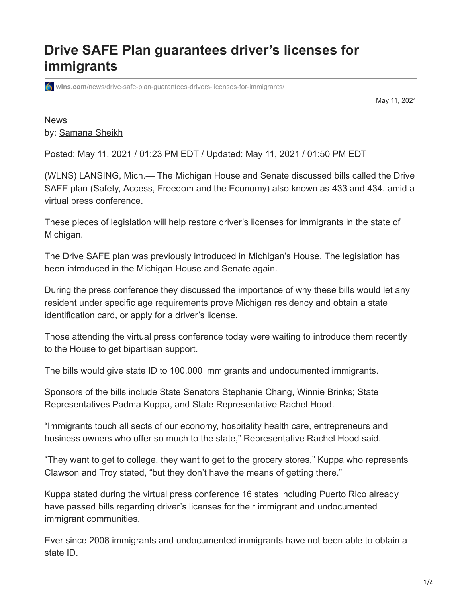## **Drive SAFE Plan guarantees driver's licenses for immigrants**

**wins.com**[/news/drive-safe-plan-guarantees-drivers-licenses-for-immigrants/](https://www.wlns.com/news/drive-safe-plan-guarantees-drivers-licenses-for-immigrants/)

May 11, 2021

**[News](https://www.wlns.com/news/)** by: [Samana Sheikh](https://www.wlns.com/author/samana-sheikh/)

Posted: May 11, 2021 / 01:23 PM EDT / Updated: May 11, 2021 / 01:50 PM EDT

(WLNS) LANSING, Mich.— The Michigan House and Senate discussed bills called the Drive SAFE plan (Safety, Access, Freedom and the Economy) also known as 433 and 434. amid a virtual press conference.

These pieces of legislation will help restore driver's licenses for immigrants in the state of Michigan.

The Drive SAFE plan was previously introduced in Michigan's House. The legislation has been introduced in the Michigan House and Senate again.

During the press conference they discussed the importance of why these bills would let any resident under specific age requirements prove Michigan residency and obtain a state identification card, or apply for a driver's license.

Those attending the virtual press conference today were waiting to introduce them recently to the House to get bipartisan support.

The bills would give state ID to 100,000 immigrants and undocumented immigrants.

Sponsors of the bills include State Senators Stephanie Chang, Winnie Brinks; State Representatives Padma Kuppa, and State Representative Rachel Hood.

"Immigrants touch all sects of our economy, hospitality health care, entrepreneurs and business owners who offer so much to the state," Representative Rachel Hood said.

"They want to get to college, they want to get to the grocery stores," Kuppa who represents Clawson and Troy stated, "but they don't have the means of getting there."

Kuppa stated during the virtual press conference 16 states including Puerto Rico already have passed bills regarding driver's licenses for their immigrant and undocumented immigrant communities.

Ever since 2008 immigrants and undocumented immigrants have not been able to obtain a state ID.